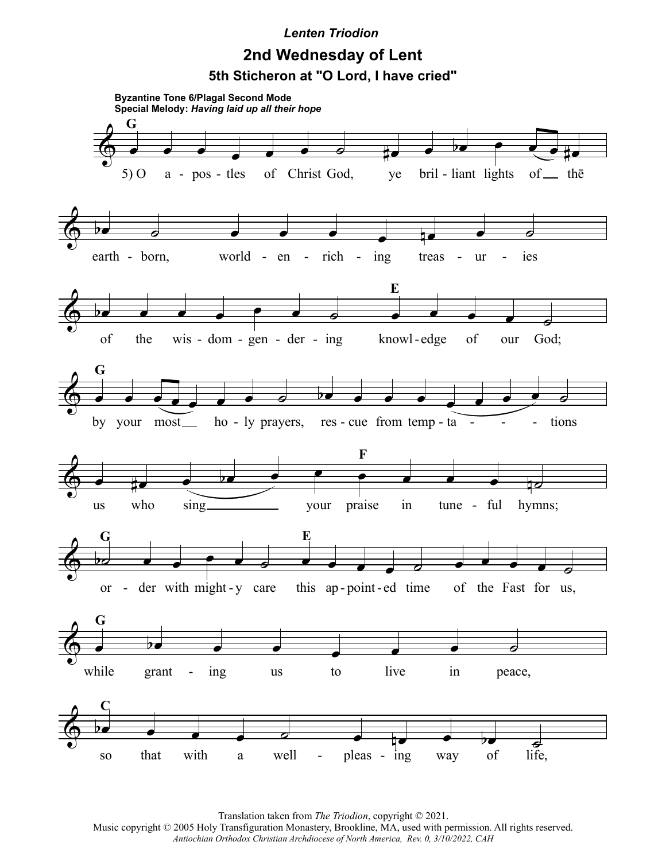## *Lenten Triodion*

## **2nd Wednesday of Lent 5th Sticheron at "O Lord, I have cried"**



Translation taken from *The Triodion*, copyright © 2021.

Music copyright © 2005 Holy Transfiguration Monastery, Brookline, MA, used with permission. All rights reserved. *Antiochian Orthodox Christian Archdiocese of North America, Rev. 0, 3/10/2022, CAH*